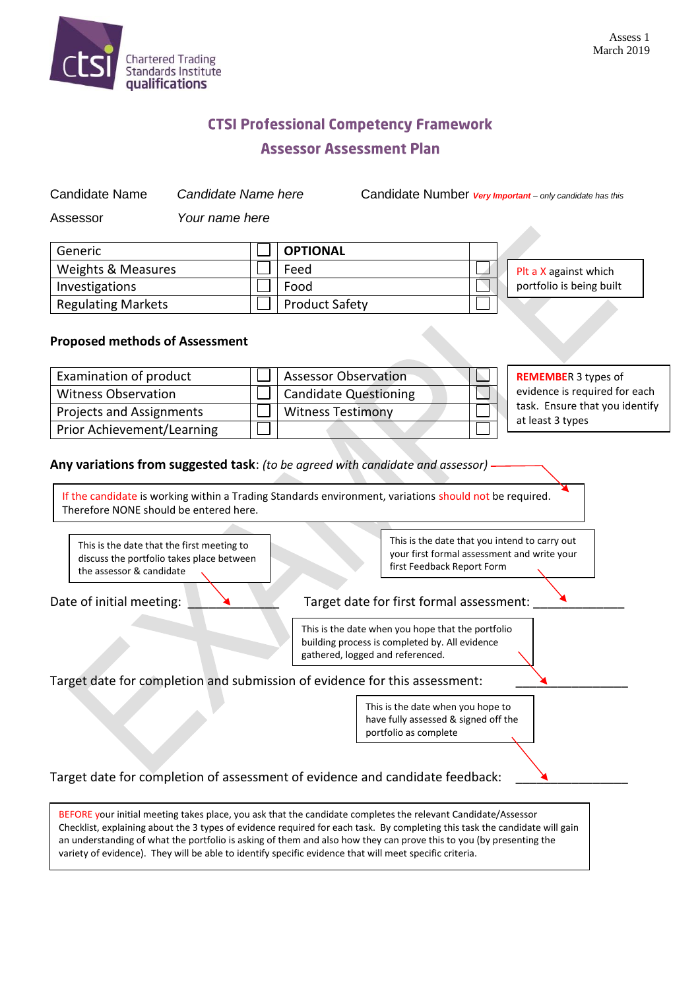

## **CTSI Professional Competency Framework Assessor Assessment Plan**

Candidate Name *Candidate Name here* Candidate Number *Very Important – only candidate has this*

Assessor *Your name here*

| Generic                   | <b>OPTIONAL</b>       |                          |
|---------------------------|-----------------------|--------------------------|
| Weights & Measures        | Feed                  | Plt a X against which    |
| Investigations            | Food                  | portfolio is being built |
| <b>Regulating Markets</b> | <b>Product Safety</b> |                          |

## **Proposed methods of Assessment**

| Examination of product     | <b>Assessor Observation</b> | <b>REMEMBER 3 types of</b>     |
|----------------------------|-----------------------------|--------------------------------|
| <b>Witness Observation</b> | Candidate Questioning       | evidence is required for each  |
| Projects and Assignments   | <b>Witness Testimony</b>    | task. Ensure that you identify |
| Prior Achievement/Learning |                             | at least 3 types               |

**Any variations from suggested task**: *(to be agreed with candidate and assessor)*

If the candidate is working within a Trading Standards environment, variations should not be required. Therefore NONE should be entered here.



This is the date when you hope to have fully assessed & signed off the portfolio as complete

Target date for completion of assessment of evidence and candidate feedback:

BEFORE your initial meeting takes place, you ask that the candidate completes the relevant Candidate/Assessor Checklist, explaining about the 3 types of evidence required for each task. By completing this task the candidate will gain an understanding of what the portfolio is asking of them and also how they can prove this to you (by presenting the variety of evidence). They will be able to identify specific evidence that will meet specific criteria.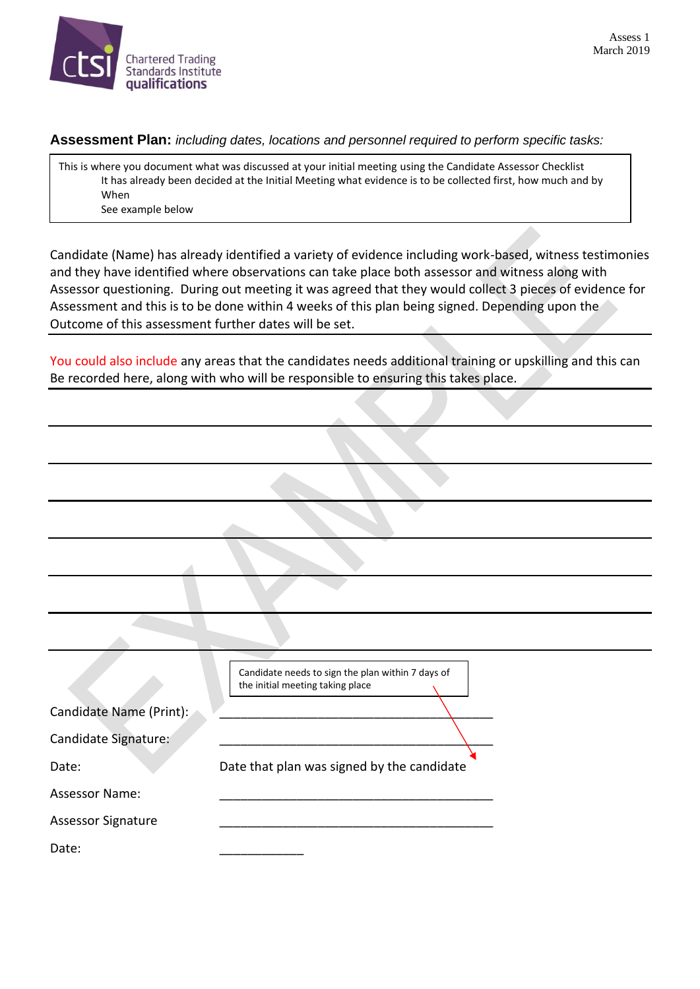

**Assessment Plan:** *including dates, locations and personnel required to perform specific tasks:*

This is where you document what was discussed at your initial meeting using the Candidate Assessor Checklist It has already been decided at the Initial Meeting what evidence is to be collected first, how much and by When See example below

Candidate (Name) has already identified a variety of evidence including work-based, witness testimonies and they have identified where observations can take place both assessor and witness along with Assessor questioning. During out meeting it was agreed that they would collect 3 pieces of evidence for Assessment and this is to be done within 4 weeks of this plan being signed. Depending upon the Outcome of this assessment further dates will be set.

You could also include any areas that the candidates needs additional training or upskilling and this can Be recorded here, along with who will be responsible to ensuring this takes place.

| Candidate needs to sign the plan within 7 days of<br>the initial meeting taking place |
|---------------------------------------------------------------------------------------|
|                                                                                       |
|                                                                                       |
| Date that plan was signed by the candidate                                            |
|                                                                                       |
|                                                                                       |
|                                                                                       |
|                                                                                       |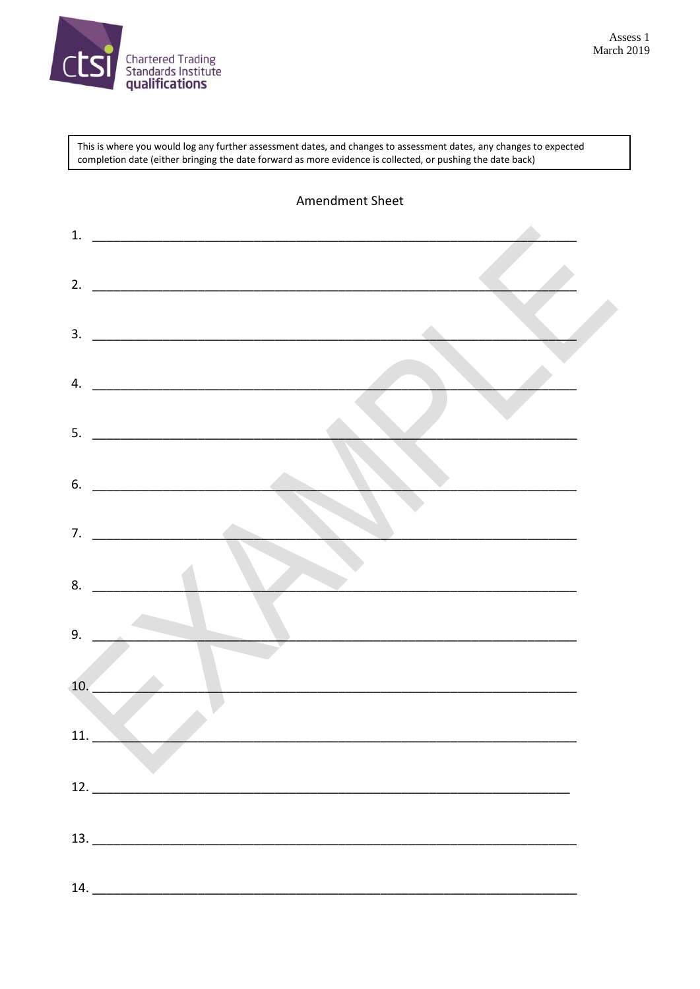

This is where you would log any further assessment dates, and changes to assessment dates, any changes to expected completion date (either bringing the date forward as more evidence is collected, or pushing the date back)

|     | Amendment Sheet                                                                                                                                                                                                                                                                                                                                                                                                                                                                |  |
|-----|--------------------------------------------------------------------------------------------------------------------------------------------------------------------------------------------------------------------------------------------------------------------------------------------------------------------------------------------------------------------------------------------------------------------------------------------------------------------------------|--|
| 1.  |                                                                                                                                                                                                                                                                                                                                                                                                                                                                                |  |
| 2.  |                                                                                                                                                                                                                                                                                                                                                                                                                                                                                |  |
| 3.  |                                                                                                                                                                                                                                                                                                                                                                                                                                                                                |  |
| 4.  | <u> 2000 - 2000 - 2000 - 2000 - 2000 - 2000 - 2000 - 2000 - 2000 - 2000 - 2000 - 2000 - 2000 - 2000 - 2000 - 200</u>                                                                                                                                                                                                                                                                                                                                                           |  |
| 5.  |                                                                                                                                                                                                                                                                                                                                                                                                                                                                                |  |
| 6.  |                                                                                                                                                                                                                                                                                                                                                                                                                                                                                |  |
| 7.  |                                                                                                                                                                                                                                                                                                                                                                                                                                                                                |  |
| 8.  |                                                                                                                                                                                                                                                                                                                                                                                                                                                                                |  |
| 9.  |                                                                                                                                                                                                                                                                                                                                                                                                                                                                                |  |
| 10. |                                                                                                                                                                                                                                                                                                                                                                                                                                                                                |  |
|     | 11.                                                                                                                                                                                                                                                                                                                                                                                                                                                                            |  |
|     |                                                                                                                                                                                                                                                                                                                                                                                                                                                                                |  |
|     | $\begin{array}{c c c c c} \hline \textbf{13.} & \textbf{---} & \textbf{---} & \textbf{---} & \textbf{---} & \textbf{---} & \textbf{---} & \textbf{---} & \textbf{---} & \textbf{---} & \textbf{---} & \textbf{---} & \textbf{---} & \textbf{---} & \textbf{---} & \textbf{---} & \textbf{---} & \textbf{---} & \textbf{---} & \textbf{---} & \textbf{---} & \textbf{---} & \textbf{---} & \textbf{---} & \textbf{---} & \textbf{---} & \textbf{---} & \textbf{---} & \textbf{$ |  |
|     | 14.                                                                                                                                                                                                                                                                                                                                                                                                                                                                            |  |